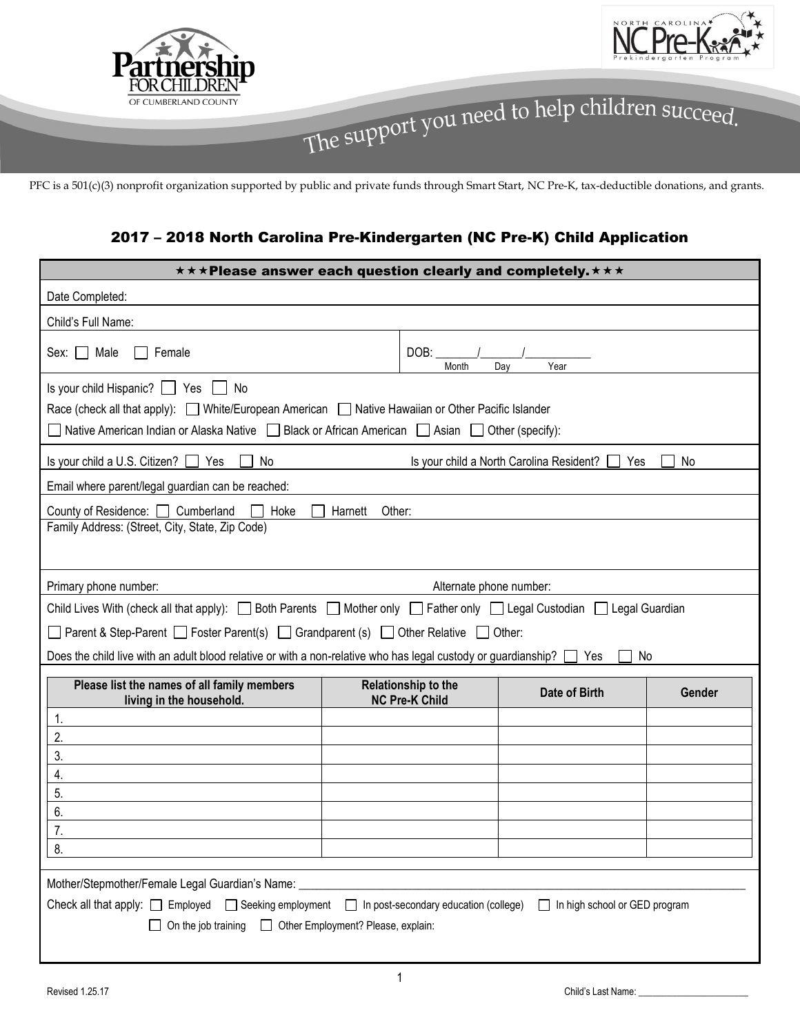



PFC is a 501(c)(3) nonprofit organization supported by public and private funds through Smart Start, NC Pre-K, tax-deductible donations, and grants.

### 2017 – 2018 North Carolina Pre-Kindergarten (NC Pre-K) Child Application

| ***Please answer each question clearly and completely.***                                                                                                                                                                                                               |                                              |               |        |  |
|-------------------------------------------------------------------------------------------------------------------------------------------------------------------------------------------------------------------------------------------------------------------------|----------------------------------------------|---------------|--------|--|
| Date Completed:                                                                                                                                                                                                                                                         |                                              |               |        |  |
| Child's Full Name:                                                                                                                                                                                                                                                      |                                              |               |        |  |
| Male<br>Female<br>Sex: $  \cdot  $                                                                                                                                                                                                                                      | DOB:<br>Month                                | Year<br>Dav   |        |  |
| Is your child Hispanic?   Yes<br>No<br>Race (check all that apply): White/European American Native Hawaiian or Other Pacific Islander<br>Native American Indian or Alaska Native   Black or African American   Asian   Other (specify):                                 |                                              |               |        |  |
| Is your child a U.S. Citizen? □ Yes<br>No<br>Is your child a North Carolina Resident?<br>Yes<br>No                                                                                                                                                                      |                                              |               |        |  |
| Email where parent/legal guardian can be reached:                                                                                                                                                                                                                       |                                              |               |        |  |
| County of Residence: Cumberland<br>Hoke<br>Other:<br>Harnett                                                                                                                                                                                                            |                                              |               |        |  |
| Family Address: (Street, City, State, Zip Code)                                                                                                                                                                                                                         |                                              |               |        |  |
| Primary phone number:<br>Alternate phone number:                                                                                                                                                                                                                        |                                              |               |        |  |
| Child Lives With (check all that apply): <b>i</b> Both Parents <b>in Mother only Deather only Deal</b> Custodian Deal Guardian                                                                                                                                          |                                              |               |        |  |
| □ Parent & Step-Parent □ Foster Parent(s) □ Grandparent (s) □ Other Relative □ Other:                                                                                                                                                                                   |                                              |               |        |  |
| Does the child live with an adult blood relative or with a non-relative who has legal custody or guardianship? □ Yes<br>No                                                                                                                                              |                                              |               |        |  |
| Please list the names of all family members<br>living in the household.                                                                                                                                                                                                 | Relationship to the<br><b>NC Pre-K Child</b> | Date of Birth | Gender |  |
| 1.                                                                                                                                                                                                                                                                      |                                              |               |        |  |
| 2.<br>3.                                                                                                                                                                                                                                                                |                                              |               |        |  |
| 4.                                                                                                                                                                                                                                                                      |                                              |               |        |  |
| 5.                                                                                                                                                                                                                                                                      |                                              |               |        |  |
| 6.                                                                                                                                                                                                                                                                      |                                              |               |        |  |
| 7.<br>8.                                                                                                                                                                                                                                                                |                                              |               |        |  |
|                                                                                                                                                                                                                                                                         |                                              |               |        |  |
| Mother/Stepmother/Female Legal Guardian's Name:<br>Check all that apply: $\Box$ Employed $\Box$ Seeking employment<br>$\Box$ In post-secondary education (college)<br>In high school or GED program<br>On the job training<br>$\Box$ Other Employment? Please, explain: |                                              |               |        |  |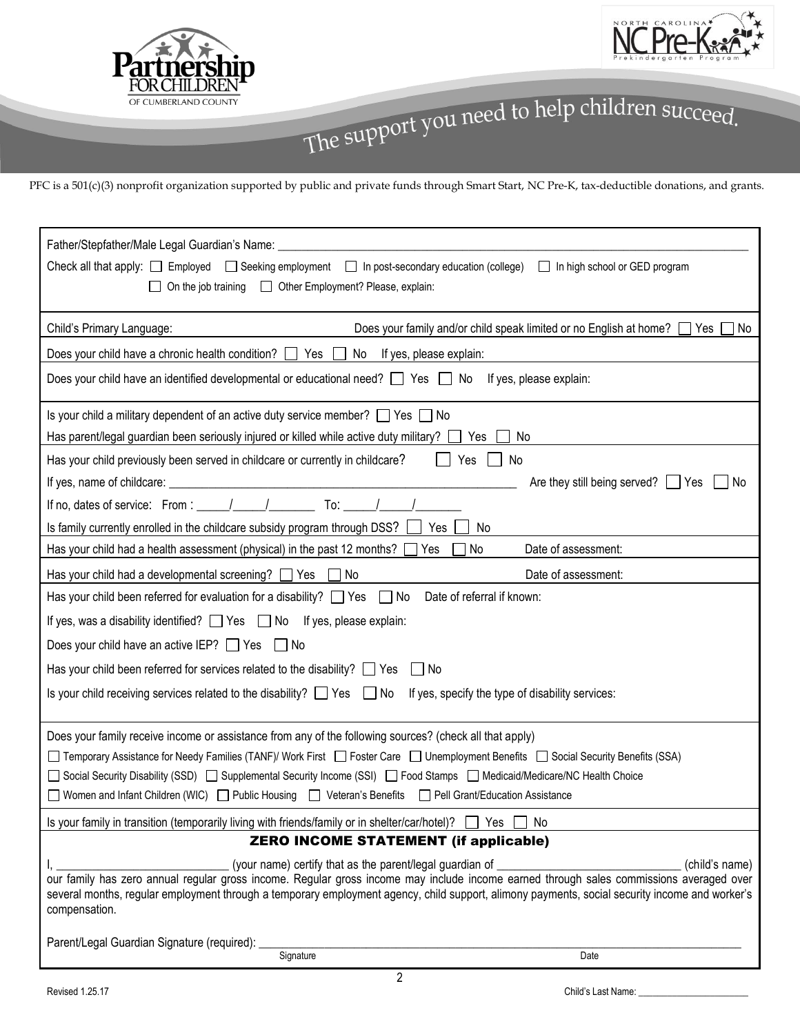



PFC is a 501(c)(3) nonprofit organization supported by public and private funds through Smart Start, NC Pre-K, tax-deductible donations, and grants.

| Father/Stepfather/Male Legal Guardian's Name:<br>Check all that apply: $\Box$ Employed $\Box$ Seeking employment $\Box$ In post-secondary education (college)<br>In high school or GED program<br>On the job training<br><u> Other Employment?</u> Please, explain:                                                                                                                                              |  |  |  |
|------------------------------------------------------------------------------------------------------------------------------------------------------------------------------------------------------------------------------------------------------------------------------------------------------------------------------------------------------------------------------------------------------------------|--|--|--|
| Does your family and/or child speak limited or no English at home? $\Box$ Yes $\Box$ No<br>Child's Primary Language:                                                                                                                                                                                                                                                                                             |  |  |  |
| Does your child have a chronic health condition? $\Box$ Yes $\Box$<br>No If yes, please explain:                                                                                                                                                                                                                                                                                                                 |  |  |  |
| Does your child have an identified developmental or educational need? $\Box$ Yes $\Box$ No If yes, please explain:                                                                                                                                                                                                                                                                                               |  |  |  |
| Is your child a military dependent of an active duty service member? $\Box$ Yes $\Box$ No                                                                                                                                                                                                                                                                                                                        |  |  |  |
| Has parent/legal guardian been seriously injured or killed while active duty military?<br>Yes<br>No                                                                                                                                                                                                                                                                                                              |  |  |  |
| Has your child previously been served in childcare or currently in childcare?<br>Yes<br>No                                                                                                                                                                                                                                                                                                                       |  |  |  |
| Are they still being served?   Yes<br>No                                                                                                                                                                                                                                                                                                                                                                         |  |  |  |
| If no, dates of service: From : $\frac{1}{\sqrt{1-\frac{1}{2}}}\sqrt{1-\frac{1}{2}}$ To: $\frac{1}{\sqrt{1-\frac{1}{2}}}\sqrt{1-\frac{1}{2}}$                                                                                                                                                                                                                                                                    |  |  |  |
| Is family currently enrolled in the childcare subsidy program through DSS?<br>Yes<br>No                                                                                                                                                                                                                                                                                                                          |  |  |  |
| Has your child had a health assessment (physical) in the past 12 months?<br>Date of assessment:<br>Yes<br>No                                                                                                                                                                                                                                                                                                     |  |  |  |
| Has your child had a developmental screening? $\Box$ Yes $\Box$ No<br>Date of assessment:                                                                                                                                                                                                                                                                                                                        |  |  |  |
| Date of referral if known:<br>Has your child been referred for evaluation for a disability? $\Box$ Yes $\Box$ No                                                                                                                                                                                                                                                                                                 |  |  |  |
| If yes, was a disability identified? $\Box$ Yes $\Box$ No If yes, please explain:                                                                                                                                                                                                                                                                                                                                |  |  |  |
| Does your child have an active IEP? $\Box$ Yes $\Box$ No                                                                                                                                                                                                                                                                                                                                                         |  |  |  |
| Has your child been referred for services related to the disability? $\Box$ Yes<br>$\Box$ No                                                                                                                                                                                                                                                                                                                     |  |  |  |
| Is your child receiving services related to the disability? $\Box$ Yes $\Box$ No If yes, specify the type of disability services:                                                                                                                                                                                                                                                                                |  |  |  |
| Does your family receive income or assistance from any of the following sources? (check all that apply)                                                                                                                                                                                                                                                                                                          |  |  |  |
| □ Temporary Assistance for Needy Families (TANF)/ Work First □ Foster Care □ Unemployment Benefits □ Social Security Benefits (SSA)                                                                                                                                                                                                                                                                              |  |  |  |
| □ Social Security Disability (SSD) □ Supplemental Security Income (SSI) □ Food Stamps □ Medicaid/Medicare/NC Health Choice                                                                                                                                                                                                                                                                                       |  |  |  |
| ■ Women and Infant Children (WIC) ■ Public Housing ■ Veteran's Benefits ■ Pell Grant/Education Assistance                                                                                                                                                                                                                                                                                                        |  |  |  |
| Is your family in transition (temporarily living with friends/family or in shelter/car/hotel)? $\Box$ Yes [<br>No                                                                                                                                                                                                                                                                                                |  |  |  |
| <b>ZERO INCOME STATEMENT (if applicable)</b>                                                                                                                                                                                                                                                                                                                                                                     |  |  |  |
| (your name) certify that as the parent/legal guardian of _______________________<br>(child's name)<br>our family has zero annual regular gross income. Regular gross income may include income earned through sales commissions averaged over<br>several months, regular employment through a temporary employment agency, child support, alimony payments, social security income and worker's<br>compensation. |  |  |  |
| Parent/Legal Guardian Signature (required):                                                                                                                                                                                                                                                                                                                                                                      |  |  |  |
| Signature<br>Date                                                                                                                                                                                                                                                                                                                                                                                                |  |  |  |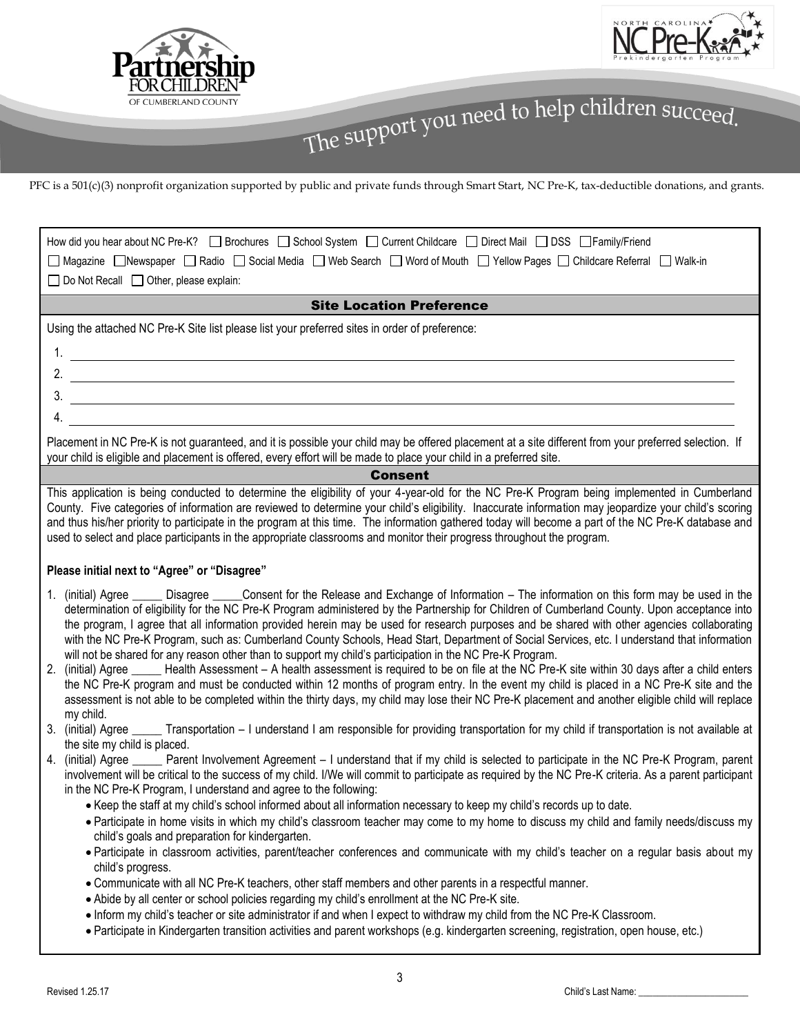



PFC is a 501(c)(3) nonprofit organization supported by public and private funds through Smart Start, NC Pre-K, tax-deductible donations, and grants.

| How did you hear about NC Pre-K? □ Brochures □ School System □ Current Childcare □ Direct Mail □ DSS □ Family/Friend<br>□ Magazine □ Newspaper □ Radio □ Social Media □ Web Search □ Word of Mouth □ Yellow Pages □ Childcare Referral □ Walk-in                                                                                                                                                                                                                                                                                                                                                                                                                                                                                                                                                                                                                                                                                                                                                                                                                                                                                                                          |  |  |  |
|---------------------------------------------------------------------------------------------------------------------------------------------------------------------------------------------------------------------------------------------------------------------------------------------------------------------------------------------------------------------------------------------------------------------------------------------------------------------------------------------------------------------------------------------------------------------------------------------------------------------------------------------------------------------------------------------------------------------------------------------------------------------------------------------------------------------------------------------------------------------------------------------------------------------------------------------------------------------------------------------------------------------------------------------------------------------------------------------------------------------------------------------------------------------------|--|--|--|
| □ Do Not Recall □ Other, please explain:                                                                                                                                                                                                                                                                                                                                                                                                                                                                                                                                                                                                                                                                                                                                                                                                                                                                                                                                                                                                                                                                                                                                  |  |  |  |
| <b>Site Location Preference</b>                                                                                                                                                                                                                                                                                                                                                                                                                                                                                                                                                                                                                                                                                                                                                                                                                                                                                                                                                                                                                                                                                                                                           |  |  |  |
| Using the attached NC Pre-K Site list please list your preferred sites in order of preference:                                                                                                                                                                                                                                                                                                                                                                                                                                                                                                                                                                                                                                                                                                                                                                                                                                                                                                                                                                                                                                                                            |  |  |  |
|                                                                                                                                                                                                                                                                                                                                                                                                                                                                                                                                                                                                                                                                                                                                                                                                                                                                                                                                                                                                                                                                                                                                                                           |  |  |  |
|                                                                                                                                                                                                                                                                                                                                                                                                                                                                                                                                                                                                                                                                                                                                                                                                                                                                                                                                                                                                                                                                                                                                                                           |  |  |  |
|                                                                                                                                                                                                                                                                                                                                                                                                                                                                                                                                                                                                                                                                                                                                                                                                                                                                                                                                                                                                                                                                                                                                                                           |  |  |  |
| 4.                                                                                                                                                                                                                                                                                                                                                                                                                                                                                                                                                                                                                                                                                                                                                                                                                                                                                                                                                                                                                                                                                                                                                                        |  |  |  |
| Placement in NC Pre-K is not guaranteed, and it is possible your child may be offered placement at a site different from your preferred selection. If<br>your child is eligible and placement is offered, every effort will be made to place your child in a preferred site.                                                                                                                                                                                                                                                                                                                                                                                                                                                                                                                                                                                                                                                                                                                                                                                                                                                                                              |  |  |  |
| <b>Consent</b>                                                                                                                                                                                                                                                                                                                                                                                                                                                                                                                                                                                                                                                                                                                                                                                                                                                                                                                                                                                                                                                                                                                                                            |  |  |  |
| This application is being conducted to determine the eligibility of your 4-year-old for the NC Pre-K Program being implemented in Cumberland<br>County. Five categories of information are reviewed to determine your child's eligibility. Inaccurate information may jeopardize your child's scoring<br>and thus his/her priority to participate in the program at this time. The information gathered today will become a part of the NC Pre-K database and<br>used to select and place participants in the appropriate classrooms and monitor their progress throughout the program.                                                                                                                                                                                                                                                                                                                                                                                                                                                                                                                                                                                   |  |  |  |
| Please initial next to "Agree" or "Disagree"                                                                                                                                                                                                                                                                                                                                                                                                                                                                                                                                                                                                                                                                                                                                                                                                                                                                                                                                                                                                                                                                                                                              |  |  |  |
| (initial) Agree ______ Disagree ______Consent for the Release and Exchange of Information – The information on this form may be used in the<br>1.<br>determination of eligibility for the NC Pre-K Program administered by the Partnership for Children of Cumberland County. Upon acceptance into<br>the program, I agree that all information provided herein may be used for research purposes and be shared with other agencies collaborating<br>with the NC Pre-K Program, such as: Cumberland County Schools, Head Start, Department of Social Services, etc. I understand that information<br>will not be shared for any reason other than to support my child's participation in the NC Pre-K Program.<br>(initial) Agree _____ Health Assessment - A health assessment is required to be on file at the NC Pre-K site within 30 days after a child enters<br>2.<br>the NC Pre-K program and must be conducted within 12 months of program entry. In the event my child is placed in a NC Pre-K site and the<br>assessment is not able to be completed within the thirty days, my child may lose their NC Pre-K placement and another eligible child will replace |  |  |  |
| my child.<br>3. (initial) Agree ______ Transportation - I understand I am responsible for providing transportation for my child if transportation is not available at<br>the site my child is placed.                                                                                                                                                                                                                                                                                                                                                                                                                                                                                                                                                                                                                                                                                                                                                                                                                                                                                                                                                                     |  |  |  |
| 4. (initial) Agree _____ Parent Involvement Agreement - I understand that if my child is selected to participate in the NC Pre-K Program, parent<br>involvement will be critical to the success of my child. I/We will commit to participate as required by the NC Pre-K criteria. As a parent participant<br>in the NC Pre-K Program, I understand and agree to the following:                                                                                                                                                                                                                                                                                                                                                                                                                                                                                                                                                                                                                                                                                                                                                                                           |  |  |  |
| • Keep the staff at my child's school informed about all information necessary to keep my child's records up to date.                                                                                                                                                                                                                                                                                                                                                                                                                                                                                                                                                                                                                                                                                                                                                                                                                                                                                                                                                                                                                                                     |  |  |  |
| . Participate in home visits in which my child's classroom teacher may come to my home to discuss my child and family needs/discuss my<br>child's goals and preparation for kindergarten.                                                                                                                                                                                                                                                                                                                                                                                                                                                                                                                                                                                                                                                                                                                                                                                                                                                                                                                                                                                 |  |  |  |
| . Participate in classroom activities, parent/teacher conferences and communicate with my child's teacher on a regular basis about my<br>child's progress.                                                                                                                                                                                                                                                                                                                                                                                                                                                                                                                                                                                                                                                                                                                                                                                                                                                                                                                                                                                                                |  |  |  |
| . Communicate with all NC Pre-K teachers, other staff members and other parents in a respectful manner.                                                                                                                                                                                                                                                                                                                                                                                                                                                                                                                                                                                                                                                                                                                                                                                                                                                                                                                                                                                                                                                                   |  |  |  |
| • Abide by all center or school policies regarding my child's enrollment at the NC Pre-K site.<br>. Inform my child's teacher or site administrator if and when I expect to withdraw my child from the NC Pre-K Classroom.                                                                                                                                                                                                                                                                                                                                                                                                                                                                                                                                                                                                                                                                                                                                                                                                                                                                                                                                                |  |  |  |
| · Participate in Kindergarten transition activities and parent workshops (e.g. kindergarten screening, registration, open house, etc.)                                                                                                                                                                                                                                                                                                                                                                                                                                                                                                                                                                                                                                                                                                                                                                                                                                                                                                                                                                                                                                    |  |  |  |
|                                                                                                                                                                                                                                                                                                                                                                                                                                                                                                                                                                                                                                                                                                                                                                                                                                                                                                                                                                                                                                                                                                                                                                           |  |  |  |